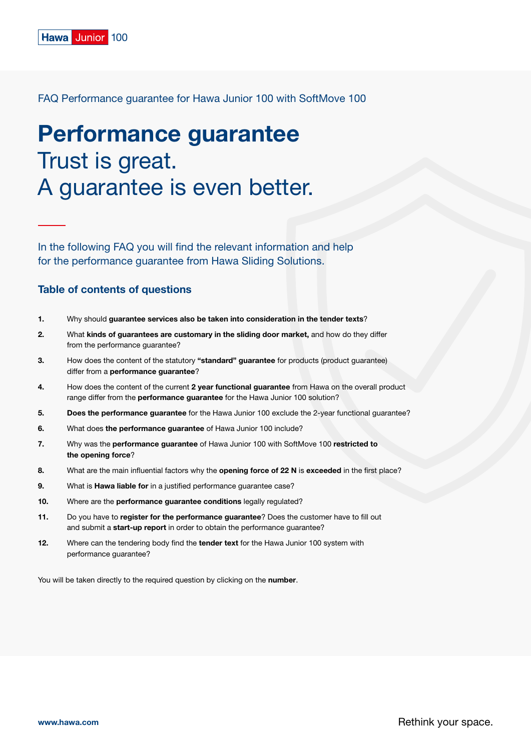# Performance guarantee Trust is great. A guarantee is even better.

In the following FAQ you will find the relevant information and help for the performance guarantee from Hawa Sliding Solutions.

# Table of contents of questions

- 1. Why should [guarantee services also be taken into consideration in the tender texts](#page-1-0)?
- [2.](#page-1-0) What [kinds of guarantees are customary in the sliding door market,](#page-1-0) and how do they differ [from the performance guarantee?](#page-1-0)
- [3.](#page-1-0) [How does the content of the statutory](#page-1-0) "standard" guarantee for products (product guarantee) differ from a [performance guarantee](#page-1-0)?
- [4.](#page-2-0) [How does the content of the current](#page-2-0) 2 year functional guarantee from Hawa on the overall product range differ from the **performance quarantee** for the Hawa Junior 100 solution?
- [5.](#page-2-0) Does the performance guarantee for the Hawa Junior 100 exclude the 2-year functional guarantee?
- [6.](#page-2-0) What does the performance guarantee [of Hawa Junior 100 include?](#page-2-0)
- [7.](#page-2-0) Why was the performance guarantee [of Hawa Junior 100 with SoftMove 100](#page-2-0) restricted to [the opening force](#page-2-0)?
- [8.](#page-3-0) [What are the main influential factors why the](#page-3-0) opening force of 22 N is exceeded in the first place?
- [9.](#page-3-0) What is Hawa liable for in a justified performance guarantee case?
- [10.](#page-3-0) Where are the [performance guarantee conditions](#page-3-0) legally regulated?
- [11.](#page-3-0) Do you have to [register for the performance guarantee](#page-3-0)? Does the customer have to fill out and submit a start-up report [in order to obtain the performance guarantee?](#page-3-0)
- [12.](#page-3-0) [Where can the tendering body find the](#page-3-0) tender text for the Hawa Junior 100 system with [performance guarantee?](#page-3-0)

You will be taken directly to the required question by clicking on the number.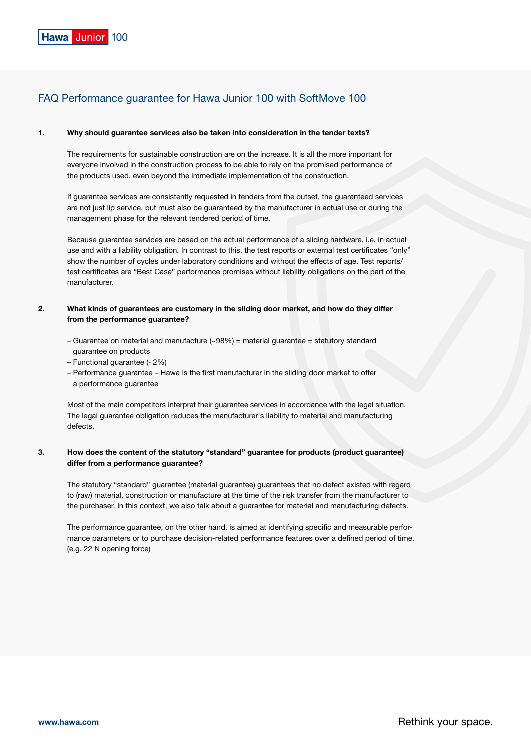#### <span id="page-1-0"></span>1. Why should guarantee services also be taken into consideration in the tender texts?

The requirements for sustainable construction are on the increase. It is all the more important for everyone involved in the construction process to be able to rely on the promised performance of the products used, even beyond the immediate implementation of the construction.

If guarantee services are consistently requested in tenders from the outset, the guaranteed services are not just lip service, but must also be guaranteed by the manufacturer in actual use or during the management phase for the relevant tendered period of time.

Because guarantee services are based on the actual performance of a sliding hardware, i.e. in actual use and with a liability obligation. In contrast to this, the test reports or external test certificates "only" show the number of cycles under laboratory conditions and without the effects of age. Test reports/ test certificates are "Best Case" performance promises without liability obligations on the part of the manufacturer.

## 2. What kinds of guarantees are customary in the sliding door market, and how do they differ from the performance guarantee?

- Guarantee on material and manufacture (~98%) = material guarantee = statutory standard guarantee on products
- Functional guarantee (~2%)
- Performance guarantee Hawa is the first manufacturer in the sliding door market to offer a performance guarantee

Most of the main competitors interpret their guarantee services in accordance with the legal situation. The legal guarantee obligation reduces the manufacturer's liability to material and manufacturing defects.

# 3. How does the content of the statutory "standard" guarantee for products (product guarantee) differ from a performance guarantee?

The statutory "standard" guarantee (material guarantee) guarantees that no defect existed with regard to (raw) material, construction or manufacture at the time of the risk transfer from the manufacturer to the purchaser. In this context, we also talk about a guarantee for material and manufacturing defects.

The performance guarantee, on the other hand, is aimed at identifying specific and measurable performance parameters or to purchase decision-related performance features over a defined period of time. (e.g. 22 N opening force)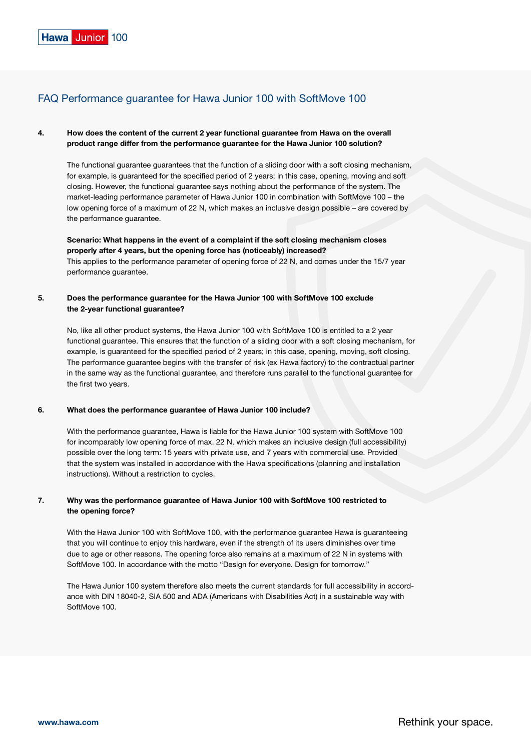# <span id="page-2-0"></span>4. How does the content of the current 2 year functional guarantee from Hawa on the overall product range differ from the performance guarantee for the Hawa Junior 100 solution?

The functional guarantee guarantees that the function of a sliding door with a soft closing mechanism, for example, is guaranteed for the specified period of 2 years; in this case, opening, moving and soft closing. However, the functional guarantee says nothing about the performance of the system. The market-leading performance parameter of Hawa Junior 100 in combination with SoftMove 100 – the low opening force of a maximum of 22 N, which makes an inclusive design possible – are covered by the performance guarantee.

Scenario: What happens in the event of a complaint if the soft closing mechanism closes properly after 4 years, but the opening force has (noticeably) increased? This applies to the performance parameter of opening force of 22 N, and comes under the 15/7 year performance guarantee.

# 5. Does the performance guarantee for the Hawa Junior 100 with SoftMove 100 exclude the 2-year functional guarantee?

No, like all other product systems, the Hawa Junior 100 with SoftMove 100 is entitled to a 2 year functional guarantee. This ensures that the function of a sliding door with a soft closing mechanism, for example, is guaranteed for the specified period of 2 years; in this case, opening, moving, soft closing. The performance guarantee begins with the transfer of risk (ex Hawa factory) to the contractual partner in the same way as the functional guarantee, and therefore runs parallel to the functional guarantee for the first two years.

#### 6. What does the performance guarantee of Hawa Junior 100 include?

With the performance guarantee, Hawa is liable for the Hawa Junior 100 system with SoftMove 100 for incomparably low opening force of max. 22 N, which makes an inclusive design (full accessibility) possible over the long term: 15 years with private use, and 7 years with commercial use. Provided that the system was installed in accordance with the Hawa specifications (planning and installation instructions). Without a restriction to cycles.

# 7. Why was the performance guarantee of Hawa Junior 100 with SoftMove 100 restricted to the opening force?

With the Hawa Junior 100 with SoftMove 100, with the performance guarantee Hawa is guaranteeing that you will continue to enjoy this hardware, even if the strength of its users diminishes over time due to age or other reasons. The opening force also remains at a maximum of 22 N in systems with SoftMove 100. In accordance with the motto "Design for everyone. Design for tomorrow."

The Hawa Junior 100 system therefore also meets the current standards for full accessibility in accordance with DIN 18040-2, SIA 500 and ADA (Americans with Disabilities Act) in a sustainable way with SoftMove 100.